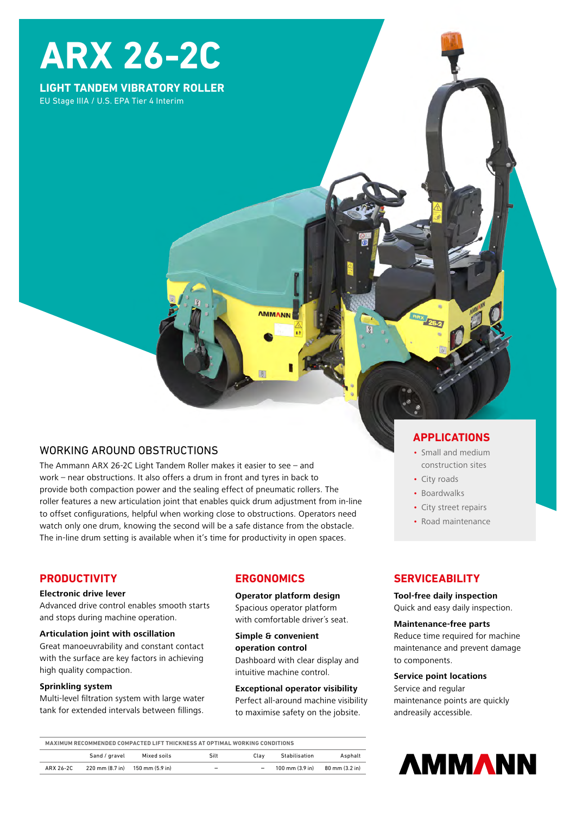# **ARX 26-2C**

## **LIGHT TANDEM VIBRATORY ROLLER** EU Stage IIIA / U.S. EPA Tier 4 Interim

## WORKING AROUND OBSTRUCTIONS

The Ammann ARX 26-2C Light Tandem Roller makes it easier to see – and work – near obstructions. It also offers a drum in front and tyres in back to provide both compaction power and the sealing effect of pneumatic rollers. The roller features a new articulation joint that enables quick drum adjustment from in-line to offset configurations, helpful when working close to obstructions. Operators need watch only one drum, knowing the second will be a safe distance from the obstacle. The in-line drum setting is available when it's time for productivity in open spaces.

## **PRODUCTIVITY**

#### **Electronic drive lever**

Advanced drive control enables smooth starts and stops during machine operation.

#### **Articulation joint with oscillation**

Great manoeuvrability and constant contact with the surface are key factors in achieving high quality compaction.

#### **Sprinkling system**

Multi-level filtration system with large water tank for extended intervals between fillings.

## **ERGONOMICS**

**AMMAN** 

**Operator platform design** Spacious operator platform with comfortable driver´s seat.

**Simple & convenient operation control**  Dashboard with clear display and intuitive machine control.

## **Exceptional operator visibility** Perfect all-around machine visibility to maximise safety on the jobsite.

## **SERVICEABILITY**

**Tool-free daily inspection** Quick and easy daily inspection.

#### **Maintenance-free parts**

Reduce time required for machine maintenance and prevent damage to components.

#### **Service point locations**

Service and regular maintenance points are quickly andreasily accessible.



| MAXIMUM RECOMMENDED COMPACTED LIFT THICKNESS AT OPTIMAL WORKING CONDITIONS |                                   |      |                          |                 |                 |           |
|----------------------------------------------------------------------------|-----------------------------------|------|--------------------------|-----------------|-----------------|-----------|
| Asphalt                                                                    | Stabilisation                     | Clav | Silt                     | Mixed soils     | Sand / gravel   |           |
| $80 \text{ mm} (3.2 \text{ in})$                                           | $100 \text{ mm} (3.9 \text{ in})$ |      | $\overline{\phantom{a}}$ | 150 mm (5.9 in) | 220 mm (8.7 in) | ARX 26-2C |

## **APPLICATIONS**

- Small and medium construction sites
- City roads
- Boardwalks
- City street repairs
- Road maintenance